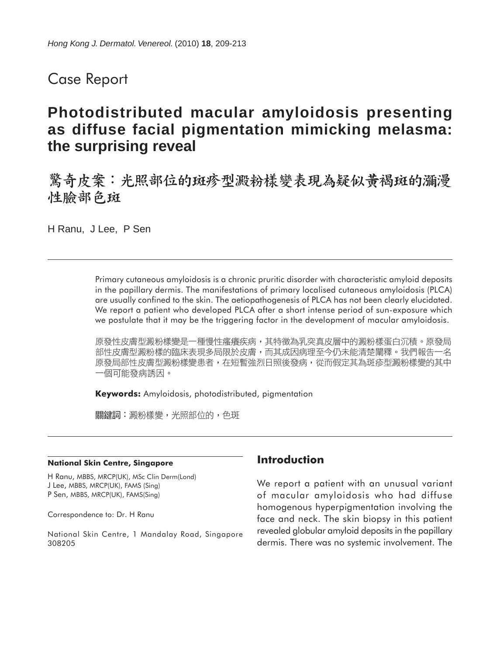## Case Report

# **Photodistributed macular amyloidosis presenting as diffuse facial pigmentation mimicking melasma: the surprising reveal**

驚奇皮案:光照部位的斑疹型澱粉樣變表現為疑似黃褐斑的瀰漫 性臉部色斑

H Ranu, J Lee, P Sen

Primary cutaneous amyloidosis is a chronic pruritic disorder with characteristic amyloid deposits in the papillary dermis. The manifestations of primary localised cutaneous amyloidosis (PLCA) are usually confined to the skin. The aetiopathogenesis of PLCA has not been clearly elucidated. We report a patient who developed PLCA after a short intense period of sun-exposure which we postulate that it may be the triggering factor in the development of macular amyloidosis.

原發性皮膚型澱粉樣變是一種慢性瘙癢疾病,其特徵為乳突真皮層中的澱粉樣蛋白沉積。原發局 部性皮膚型澱粉樣的臨床表現多局限於皮膚,而其成因病理至今仍未能清楚闡釋。我們報告一名 原發局部性皮膚型澱粉樣變患者,在短暫強烈日照後發病,從而假定其為斑疹型澱粉樣變的其中 一個可能發病誘因。

**Keywords:** Amyloidosis, photodistributed, pigmentation

關鍵詞:澱粉樣變,光照部位的,色斑

#### **National Skin Centre, Singapore**

H Ranu, MBBS, MRCP(UK), MSc Clin Derm(Lond) J Lee, MBBS, MRCP(UK), FAMS (Sing) P Sen, MBBS, MRCP(UK), FAMS(Sing)

Correspondence to: Dr. H Ranu

National Skin Centre, 1 Mandalay Road, Singapore 308205

#### **Introduction**

We report a patient with an unusual variant of macular amyloidosis who had diffuse homogenous hyperpigmentation involving the face and neck. The skin biopsy in this patient revealed globular amyloid deposits in the papillary dermis. There was no systemic involvement. The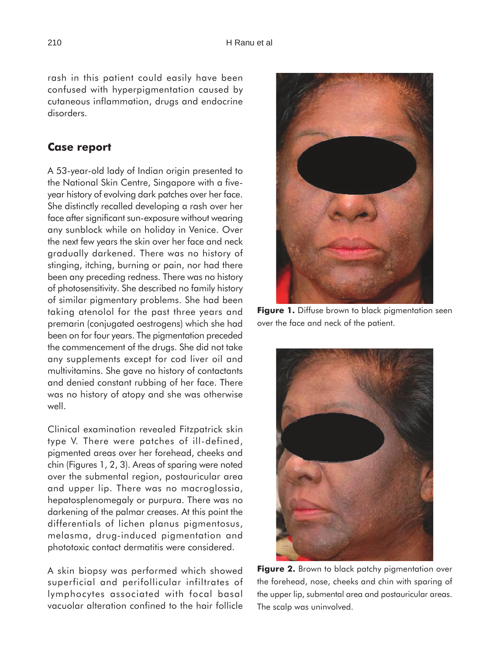rash in this patient could easily have been confused with hyperpigmentation caused by cutaneous inflammation, drugs and endocrine disorders.

#### **Case report**

A 53-year-old lady of Indian origin presented to the National Skin Centre, Singapore with a fiveyear history of evolving dark patches over her face. She distinctly recalled developing a rash over her face after significant sun-exposure without wearing any sunblock while on holiday in Venice. Over the next few years the skin over her face and neck gradually darkened. There was no history of stinging, itching, burning or pain, nor had there been any preceding redness. There was no history of photosensitivity. She described no family history of similar pigmentary problems. She had been taking atenolol for the past three years and premarin (conjugated oestrogens) which she had been on for four years. The pigmentation preceded the commencement of the drugs. She did not take any supplements except for cod liver oil and multivitamins. She gave no history of contactants and denied constant rubbing of her face. There was no history of atopy and she was otherwise well.

Clinical examination revealed Fitzpatrick skin type V. There were patches of ill-defined, pigmented areas over her forehead, cheeks and chin (Figures 1, 2, 3). Areas of sparing were noted over the submental region, postauricular area and upper lip. There was no macroglossia, hepatosplenomegaly or purpura. There was no darkening of the palmar creases. At this point the differentials of lichen planus pigmentosus, melasma, drug-induced pigmentation and phototoxic contact dermatitis were considered.

A skin biopsy was performed which showed superficial and perifollicular infiltrates of lymphocytes associated with focal basal vacuolar alteration confined to the hair follicle



**Figure 1.** Diffuse brown to black pigmentation seen over the face and neck of the patient.



Figure 2. Brown to black patchy pigmentation over the forehead, nose, cheeks and chin with sparing of the upper lip, submental area and postauricular areas. The scalp was uninvolved.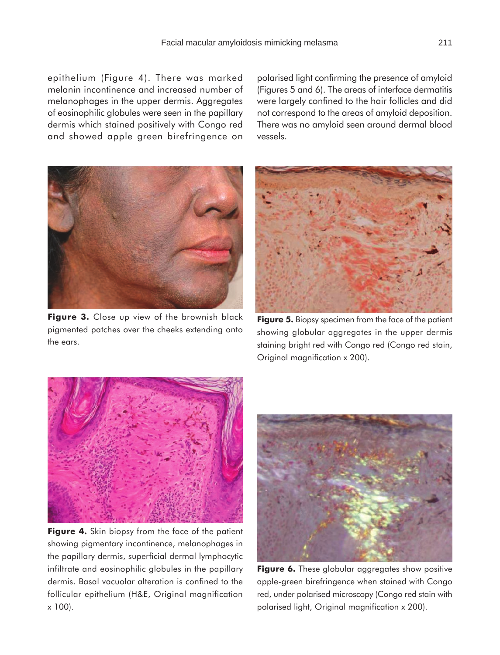epithelium (Figure 4). There was marked melanin incontinence and increased number of melanophages in the upper dermis. Aggregates of eosinophilic globules were seen in the papillary dermis which stained positively with Congo red and showed apple green birefringence on

polarised light confirming the presence of amyloid (Figures 5 and 6). The areas of interface dermatitis were largely confined to the hair follicles and did not correspond to the areas of amyloid deposition. There was no amyloid seen around dermal blood vessels.



**Figure 3.** Close up view of the brownish black pigmented patches over the cheeks extending onto the ears.



**Figure 5.** Biopsy specimen from the face of the patient showing globular aggregates in the upper dermis staining bright red with Congo red (Congo red stain, Original magnification x 200).



**Figure 4.** Skin biopsy from the face of the patient showing pigmentary incontinence, melanophages in the papillary dermis, superficial dermal lymphocytic infiltrate and eosinophilic globules in the papillary dermis. Basal vacuolar alteration is confined to the follicular epithelium (H&E, Original magnification x 100).



**Figure 6.** These globular aggregates show positive apple-green birefringence when stained with Congo red, under polarised microscopy (Congo red stain with polarised light, Original magnification x 200).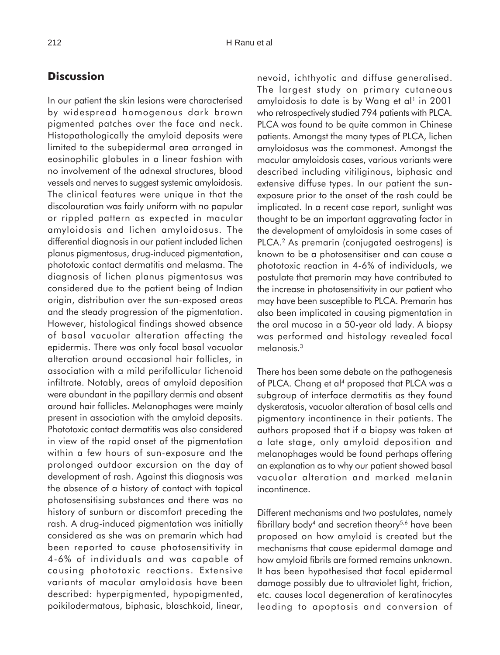### **Discussion**

In our patient the skin lesions were characterised by widespread homogenous dark brown pigmented patches over the face and neck. Histopathologically the amyloid deposits were limited to the subepidermal area arranged in eosinophilic globules in a linear fashion with no involvement of the adnexal structures, blood vessels and nerves to suggest systemic amyloidosis. The clinical features were unique in that the discolouration was fairly uniform with no papular or rippled pattern as expected in macular amyloidosis and lichen amyloidosus. The differential diagnosis in our patient included lichen planus pigmentosus, drug-induced pigmentation, phototoxic contact dermatitis and melasma. The diagnosis of lichen planus pigmentosus was considered due to the patient being of Indian origin, distribution over the sun-exposed areas and the steady progression of the pigmentation. However, histological findings showed absence of basal vacuolar alteration affecting the epidermis. There was only focal basal vacuolar alteration around occasional hair follicles, in association with a mild perifollicular lichenoid infiltrate. Notably, areas of amyloid deposition were abundant in the papillary dermis and absent around hair follicles. Melanophages were mainly present in association with the amyloid deposits. Phototoxic contact dermatitis was also considered in view of the rapid onset of the pigmentation within a few hours of sun-exposure and the prolonged outdoor excursion on the day of development of rash. Against this diagnosis was the absence of a history of contact with topical photosensitising substances and there was no history of sunburn or discomfort preceding the rash. A drug-induced pigmentation was initially considered as she was on premarin which had been reported to cause photosensitivity in 4-6% of individuals and was capable of causing phototoxic reactions. Extensive variants of macular amyloidosis have been described: hyperpigmented, hypopigmented, poikilodermatous, biphasic, blaschkoid, linear,

nevoid, ichthyotic and diffuse generalised. The largest study on primary cutaneous amyloidosis to date is by Wang et al<sup>1</sup> in 2001 who retrospectively studied 794 patients with PLCA. PLCA was found to be quite common in Chinese patients. Amongst the many types of PLCA, lichen amyloidosus was the commonest. Amongst the macular amyloidosis cases, various variants were described including vitiliginous, biphasic and extensive diffuse types. In our patient the sunexposure prior to the onset of the rash could be implicated. In a recent case report, sunlight was thought to be an important aggravating factor in the development of amyloidosis in some cases of PLCA.<sup>2</sup> As premarin (conjugated oestrogens) is known to be a photosensitiser and can cause a phototoxic reaction in 4-6% of individuals, we postulate that premarin may have contributed to the increase in photosensitivity in our patient who may have been susceptible to PLCA. Premarin has also been implicated in causing pigmentation in the oral mucosa in a 50-year old lady. A biopsy was performed and histology revealed focal melanosis.3

There has been some debate on the pathogenesis of PLCA. Chang et al<sup>4</sup> proposed that PLCA was a subgroup of interface dermatitis as they found dyskeratosis, vacuolar alteration of basal cells and pigmentary incontinence in their patients. The authors proposed that if a biopsy was taken at a late stage, only amyloid deposition and melanophages would be found perhaps offering an explanation as to why our patient showed basal vacuolar alteration and marked melanin incontinence.

Different mechanisms and two postulates, namely fibrillary body<sup>4</sup> and secretion theory<sup>5,6</sup> have been proposed on how amyloid is created but the mechanisms that cause epidermal damage and how amyloid fibrils are formed remains unknown. It has been hypothesised that focal epidermal damage possibly due to ultraviolet light, friction, etc. causes local degeneration of keratinocytes leading to apoptosis and conversion of